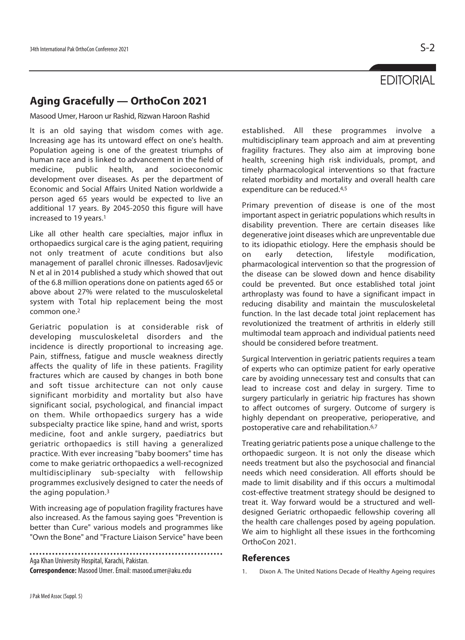## **EDITORIAL**

## **Aging Gracefully — OrthoCon 2021**

Masood Umer, Haroon ur Rashid, Rizwan Haroon Rashid

It is an old saying that wisdom comes with age. Increasing age has its untoward effect on one's health. Population ageing is one of the greatest triumphs of human race and is linked to advancement in the field of medicine, public health, and socioeconomic development over diseases. As per the department of Economic and Social Affairs United Nation worldwide a person aged 65 years would be expected to live an additional 17 years. By 2045-2050 this figure will have increased to 19 years.1

Like all other health care specialties, major influx in orthopaedics surgical care is the aging patient, requiring not only treatment of acute conditions but also management of parallel chronic illnesses. Radosavljevic N et al in 2014 published a study which showed that out of the 6.8 million operations done on patients aged 65 or above about 27% were related to the musculoskeletal system with Total hip replacement being the most common one.2

Geriatric population is at considerable risk of developing musculoskeletal disorders and the incidence is directly proportional to increasing age. Pain, stiffness, fatigue and muscle weakness directly affects the quality of life in these patients. Fragility fractures which are caused by changes in both bone and soft tissue architecture can not only cause significant morbidity and mortality but also have significant social, psychological, and financial impact on them. While orthopaedics surgery has a wide subspecialty practice like spine, hand and wrist, sports medicine, foot and ankle surgery, paediatrics but geriatric orthopaedics is still having a generalized practice. With ever increasing "baby boomers" time has come to make geriatric orthopaedics a well-recognized multidisciplinary sub-specialty with fellowship programmes exclusively designed to cater the needs of the aging population.3

With increasing age of population fragility fractures have also increased. As the famous saying goes "Prevention is better than Cure" various models and programmes like "Own the Bone" and "Fracture Liaison Service" have been

Aga Khan University Hospital, Karachi, Pakistan.

**Correspondence:** Masood Umer. Email: masood.umer@aku.edu

established. All these programmes involve a multidisciplinary team approach and aim at preventing fragility fractures. They also aim at improving bone health, screening high risk individuals, prompt, and timely pharmacological interventions so that fracture related morbidity and mortality and overall health care expenditure can be reduced.4,5

Primary prevention of disease is one of the most important aspect in geriatric populations which results in disability prevention. There are certain diseases like degenerative joint diseases which are unpreventable due to its idiopathic etiology. Here the emphasis should be on early detection, lifestyle modification, pharmacological intervention so that the progression of the disease can be slowed down and hence disability could be prevented. But once established total joint arthroplasty was found to have a significant impact in reducing disability and maintain the musculoskeletal function. In the last decade total joint replacement has revolutionized the treatment of arthritis in elderly still multimodal team approach and individual patients need should be considered before treatment.

Surgical Intervention in geriatric patients requires a team of experts who can optimize patient for early operative care by avoiding unnecessary test and consults that can lead to increase cost and delay in surgery. Time to surgery particularly in geriatric hip fractures has shown to affect outcomes of surgery. Outcome of surgery is highly dependant on preoperative, perioperative, and postoperative care and rehabilitation.6,7

Treating geriatric patients pose a unique challenge to the orthopaedic surgeon. It is not only the disease which needs treatment but also the psychosocial and financial needs which need consideration. All efforts should be made to limit disability and if this occurs a multimodal cost-effective treatment strategy should be designed to treat it. Way forward would be a structured and welldesigned Geriatric orthopaedic fellowship covering all the health care challenges posed by ageing population. We aim to highlight all these issues in the forthcoming OrthoCon 2021.

## **References**

1. Dixon A. The United Nations Decade of Healthy Ageing requires